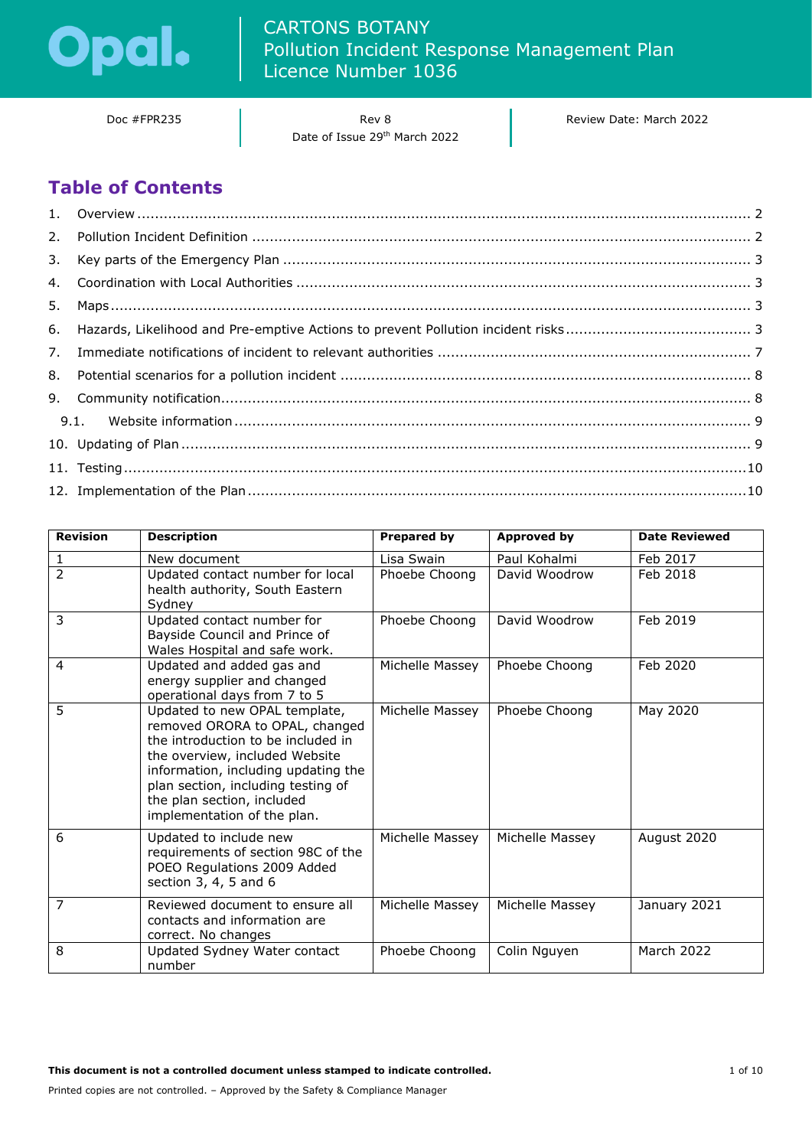

Doc #FPR235 and a Rev 8 Date of Issue 29th March 2022 Review Date: March 2022

# **Table of Contents**

| <b>Revision</b> | <b>Description</b>                                                                                                                                                                                                                                                                | <b>Prepared by</b> | <b>Approved by</b> | <b>Date Reviewed</b> |
|-----------------|-----------------------------------------------------------------------------------------------------------------------------------------------------------------------------------------------------------------------------------------------------------------------------------|--------------------|--------------------|----------------------|
|                 | New document                                                                                                                                                                                                                                                                      | Lisa Swain         | Paul Kohalmi       | Feb 2017             |
| $\overline{2}$  | Updated contact number for local<br>health authority, South Eastern<br>Sydney                                                                                                                                                                                                     | Phoebe Choong      | David Woodrow      | Feb 2018             |
| 3               | Updated contact number for<br>Bayside Council and Prince of<br>Wales Hospital and safe work.                                                                                                                                                                                      | Phoebe Choong      | David Woodrow      | Feb 2019             |
| 4               | Updated and added gas and<br>energy supplier and changed<br>operational days from 7 to 5                                                                                                                                                                                          | Michelle Massey    | Phoebe Choong      | Feb 2020             |
| 5               | Updated to new OPAL template,<br>removed ORORA to OPAL, changed<br>the introduction to be included in<br>the overview, included Website<br>information, including updating the<br>plan section, including testing of<br>the plan section, included<br>implementation of the plan. | Michelle Massey    | Phoebe Choong      | May 2020             |
| 6               | Updated to include new<br>requirements of section 98C of the<br>POEO Regulations 2009 Added<br>section 3, 4, 5 and 6                                                                                                                                                              | Michelle Massey    | Michelle Massey    | August 2020          |
| $\overline{7}$  | Reviewed document to ensure all<br>contacts and information are<br>correct. No changes                                                                                                                                                                                            | Michelle Massey    | Michelle Massey    | January 2021         |
| 8               | Updated Sydney Water contact<br>number                                                                                                                                                                                                                                            | Phoebe Choong      | Colin Nguyen       | <b>March 2022</b>    |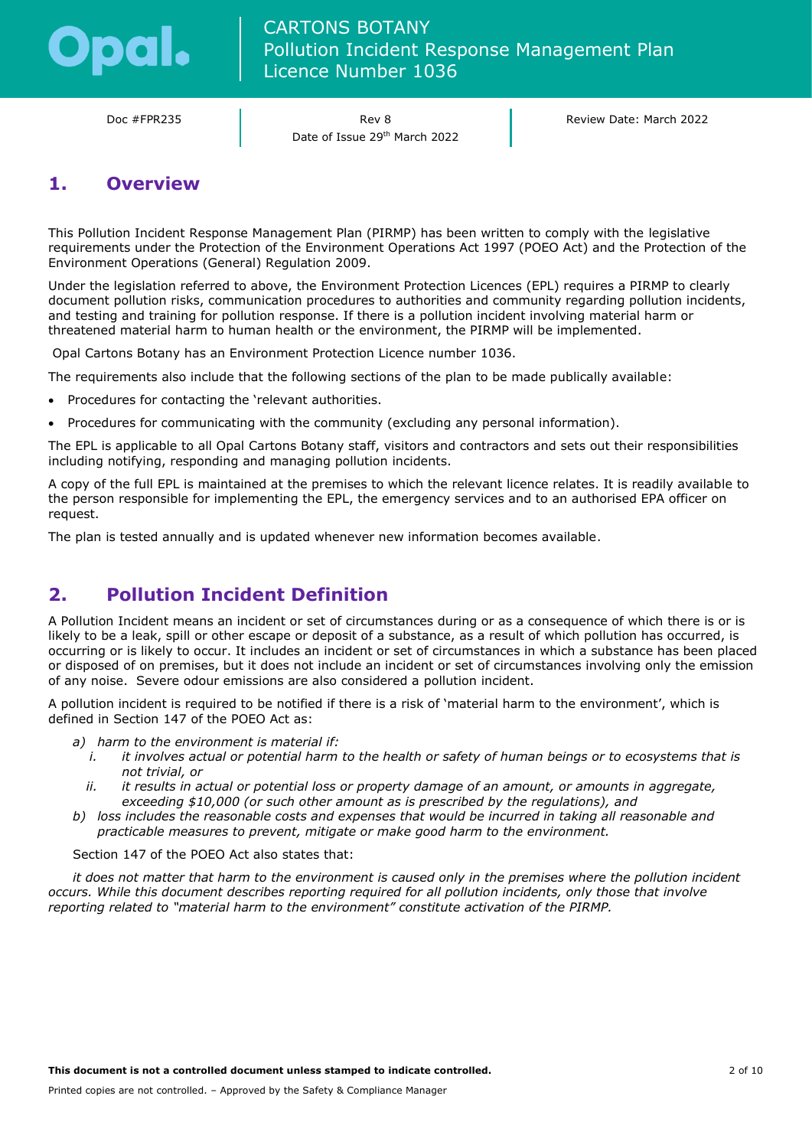

Doc #FPR235 Rev 8 Date of Issue 29th March 2022 Review Date: March 2022

## <span id="page-1-0"></span>**1. Overview**

This Pollution Incident Response Management Plan (PIRMP) has been written to comply with the legislative requirements under the Protection of the Environment Operations Act 1997 (POEO Act) and the Protection of the Environment Operations (General) Regulation 2009.

Under the legislation referred to above, the Environment Protection Licences (EPL) requires a PIRMP to clearly document pollution risks, communication procedures to authorities and community regarding pollution incidents, and testing and training for pollution response. If there is a pollution incident involving material harm or threatened material harm to human health or the environment, the PIRMP will be implemented.

Opal Cartons Botany has an Environment Protection Licence number 1036.

The requirements also include that the following sections of the plan to be made publically available:

- Procedures for contacting the 'relevant authorities.
- Procedures for communicating with the community (excluding any personal information).

The EPL is applicable to all Opal Cartons Botany staff, visitors and contractors and sets out their responsibilities including notifying, responding and managing pollution incidents.

A copy of the full EPL is maintained at the premises to which the relevant licence relates. It is readily available to the person responsible for implementing the EPL, the emergency services and to an authorised EPA officer on request.

The plan is tested annually and is updated whenever new information becomes available.

# <span id="page-1-1"></span>**2. Pollution Incident Definition**

A Pollution Incident means an incident or set of circumstances during or as a consequence of which there is or is likely to be a leak, spill or other escape or deposit of a substance, as a result of which pollution has occurred, is occurring or is likely to occur. It includes an incident or set of circumstances in which a substance has been placed or disposed of on premises, but it does not include an incident or set of circumstances involving only the emission of any noise. Severe odour emissions are also considered a pollution incident.

A pollution incident is required to be notified if there is a risk of 'material harm to the environment', which is defined in Section 147 of the POEO Act as:

- *a) harm to the environment is material if:*
	- *i. it involves actual or potential harm to the health or safety of human beings or to ecosystems that is not trivial, or*
	- *ii. it results in actual or potential loss or property damage of an amount, or amounts in aggregate, exceeding \$10,000 (or such other amount as is prescribed by the regulations), and*
- *b) loss includes the reasonable costs and expenses that would be incurred in taking all reasonable and practicable measures to prevent, mitigate or make good harm to the environment.*

Section 147 of the POEO Act also states that:

*it does not matter that harm to the environment is caused only in the premises where the pollution incident occurs. While this document describes reporting required for all pollution incidents, only those that involve reporting related to "material harm to the environment" constitute activation of the PIRMP.*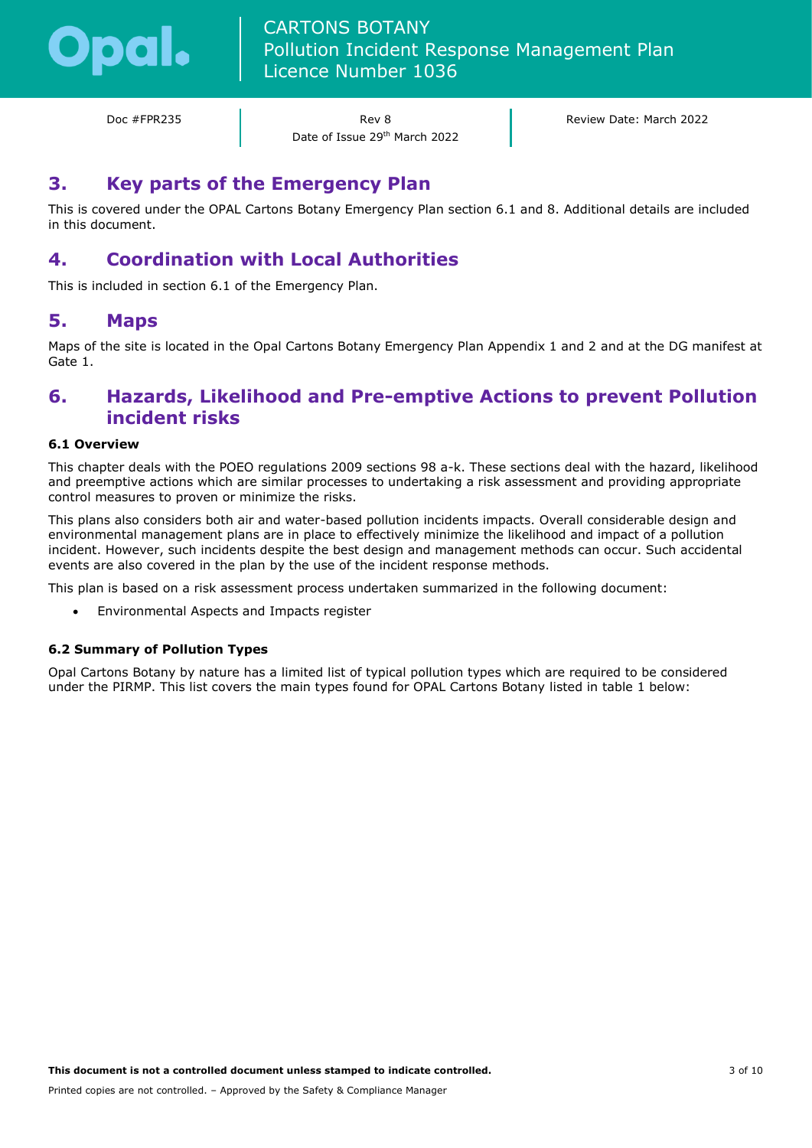

Doc #FPR235 Rev 8 Date of Issue 29th March 2022 Review Date: March 2022

### <span id="page-2-0"></span>**3. Key parts of the Emergency Plan**

This is covered under the OPAL Cartons Botany Emergency Plan section 6.1 and 8. Additional details are included in this document.

# <span id="page-2-1"></span>**4. Coordination with Local Authorities**

This is included in section 6.1 of the Emergency Plan.

### <span id="page-2-2"></span>**5. Maps**

Maps of the site is located in the Opal Cartons Botany Emergency Plan Appendix 1 and 2 and at the DG manifest at Gate 1.

### <span id="page-2-3"></span>**6. Hazards, Likelihood and Pre-emptive Actions to prevent Pollution incident risks**

### **6.1 Overview**

This chapter deals with the POEO regulations 2009 sections 98 a-k. These sections deal with the hazard, likelihood and preemptive actions which are similar processes to undertaking a risk assessment and providing appropriate control measures to proven or minimize the risks.

This plans also considers both air and water-based pollution incidents impacts. Overall considerable design and environmental management plans are in place to effectively minimize the likelihood and impact of a pollution incident. However, such incidents despite the best design and management methods can occur. Such accidental events are also covered in the plan by the use of the incident response methods.

This plan is based on a risk assessment process undertaken summarized in the following document:

• Environmental Aspects and Impacts register

#### **6.2 Summary of Pollution Types**

Opal Cartons Botany by nature has a limited list of typical pollution types which are required to be considered under the PIRMP. This list covers the main types found for OPAL Cartons Botany listed in table 1 below: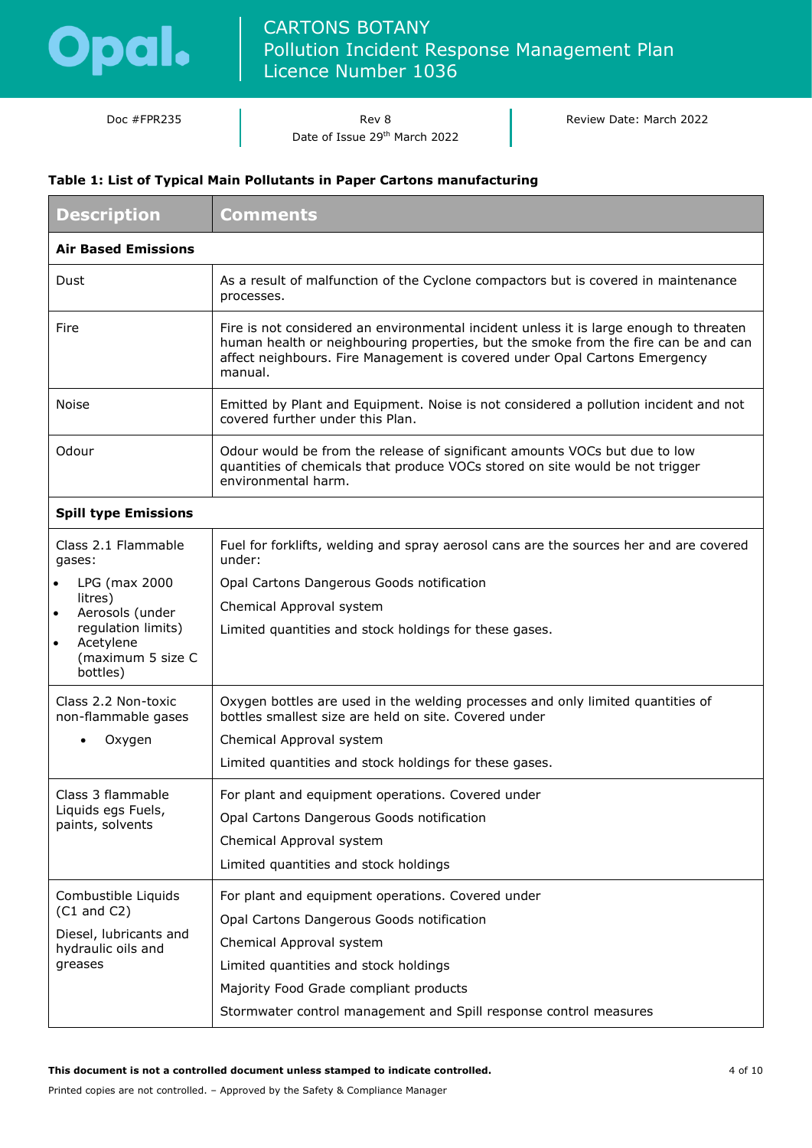

Doc #FPR235 and a Rev 8 Date of Issue 29th March 2022 Review Date: March 2022

### **Table 1: List of Typical Main Pollutants in Paper Cartons manufacturing**

| <b>Description</b>                                                            | <b>Comments</b>                                                                                                                                                                                                                                                        |  |  |  |
|-------------------------------------------------------------------------------|------------------------------------------------------------------------------------------------------------------------------------------------------------------------------------------------------------------------------------------------------------------------|--|--|--|
| <b>Air Based Emissions</b>                                                    |                                                                                                                                                                                                                                                                        |  |  |  |
| Dust                                                                          | As a result of malfunction of the Cyclone compactors but is covered in maintenance<br>processes.                                                                                                                                                                       |  |  |  |
| Fire                                                                          | Fire is not considered an environmental incident unless it is large enough to threaten<br>human health or neighbouring properties, but the smoke from the fire can be and can<br>affect neighbours. Fire Management is covered under Opal Cartons Emergency<br>manual. |  |  |  |
| <b>Noise</b>                                                                  | Emitted by Plant and Equipment. Noise is not considered a pollution incident and not<br>covered further under this Plan.                                                                                                                                               |  |  |  |
| Odour                                                                         | Odour would be from the release of significant amounts VOCs but due to low<br>quantities of chemicals that produce VOCs stored on site would be not trigger<br>environmental harm.                                                                                     |  |  |  |
| <b>Spill type Emissions</b>                                                   |                                                                                                                                                                                                                                                                        |  |  |  |
| Class 2.1 Flammable<br>gases:                                                 | Fuel for forklifts, welding and spray aerosol cans are the sources her and are covered<br>under:                                                                                                                                                                       |  |  |  |
| LPG (max 2000<br>litres)                                                      | Opal Cartons Dangerous Goods notification                                                                                                                                                                                                                              |  |  |  |
| Aerosols (under                                                               | Chemical Approval system                                                                                                                                                                                                                                               |  |  |  |
| regulation limits)<br>Acetylene<br>$\bullet$<br>(maximum 5 size C<br>bottles) | Limited quantities and stock holdings for these gases.                                                                                                                                                                                                                 |  |  |  |
| Class 2.2 Non-toxic<br>non-flammable gases                                    | Oxygen bottles are used in the welding processes and only limited quantities of<br>bottles smallest size are held on site. Covered under                                                                                                                               |  |  |  |
| Oxygen                                                                        | Chemical Approval system                                                                                                                                                                                                                                               |  |  |  |
|                                                                               | Limited quantities and stock holdings for these gases.                                                                                                                                                                                                                 |  |  |  |
| Class 3 flammable                                                             | For plant and equipment operations. Covered under                                                                                                                                                                                                                      |  |  |  |
| Liquids egs Fuels,<br>paints, solvents                                        | Opal Cartons Dangerous Goods notification                                                                                                                                                                                                                              |  |  |  |
|                                                                               | Chemical Approval system                                                                                                                                                                                                                                               |  |  |  |
|                                                                               | Limited quantities and stock holdings                                                                                                                                                                                                                                  |  |  |  |
| Combustible Liquids<br>$(C1$ and $C2)$                                        | For plant and equipment operations. Covered under                                                                                                                                                                                                                      |  |  |  |
| Diesel, lubricants and                                                        | Opal Cartons Dangerous Goods notification                                                                                                                                                                                                                              |  |  |  |
| hydraulic oils and                                                            | Chemical Approval system                                                                                                                                                                                                                                               |  |  |  |
| greases                                                                       | Limited quantities and stock holdings                                                                                                                                                                                                                                  |  |  |  |
|                                                                               | Majority Food Grade compliant products                                                                                                                                                                                                                                 |  |  |  |
|                                                                               | Stormwater control management and Spill response control measures                                                                                                                                                                                                      |  |  |  |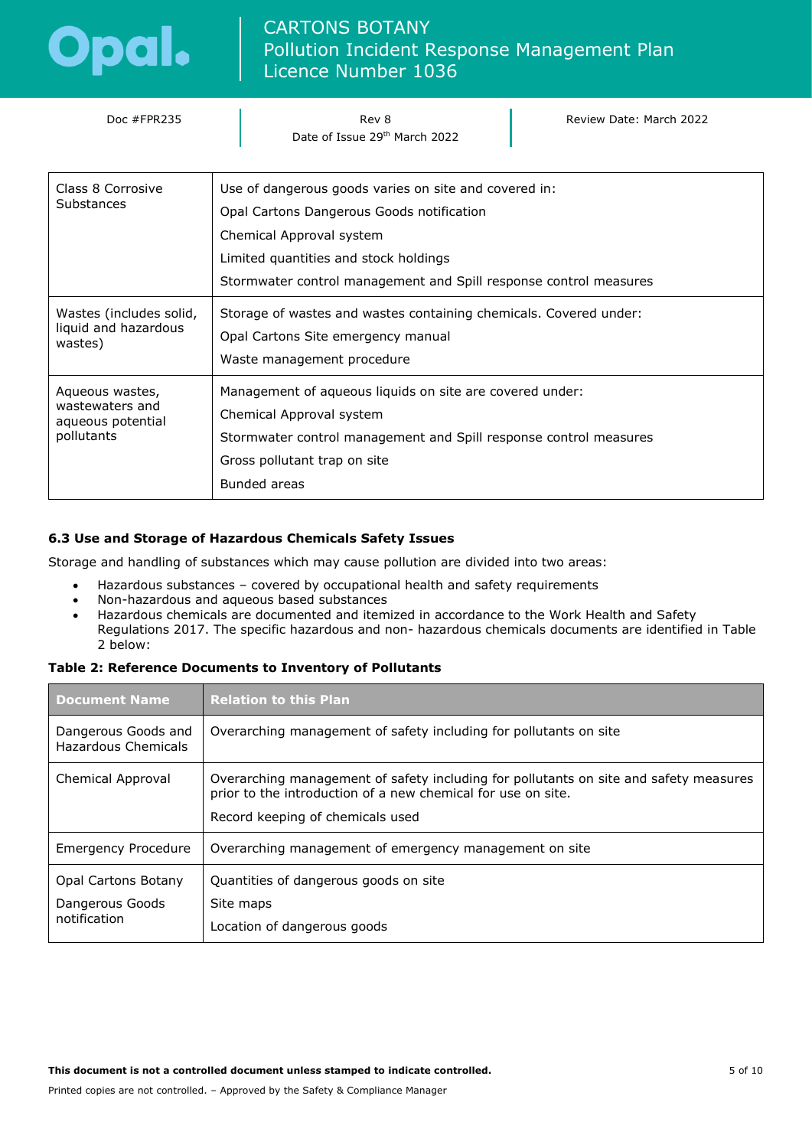

| Doc #FPR235                                                                                                                                                                                                                                                                        | Rev 8<br>Date of Issue 29th March 2022                                                                                                                                                                                                       | Review Date: March 2022 |  |
|------------------------------------------------------------------------------------------------------------------------------------------------------------------------------------------------------------------------------------------------------------------------------------|----------------------------------------------------------------------------------------------------------------------------------------------------------------------------------------------------------------------------------------------|-------------------------|--|
| Class 8 Corrosive<br>Substances                                                                                                                                                                                                                                                    | Use of dangerous goods varies on site and covered in:<br>Opal Cartons Dangerous Goods notification<br>Chemical Approval system<br>Limited quantities and stock holdings<br>Stormwater control management and Spill response control measures |                         |  |
| Wastes (includes solid,<br>liquid and hazardous<br>wastes)                                                                                                                                                                                                                         | Storage of wastes and wastes containing chemicals. Covered under:<br>Opal Cartons Site emergency manual<br>Waste management procedure                                                                                                        |                         |  |
| Management of aqueous liquids on site are covered under:<br>Aqueous wastes,<br>wastewaters and<br>Chemical Approval system<br>aqueous potential<br>pollutants<br>Stormwater control management and Spill response control measures<br>Gross pollutant trap on site<br>Bunded areas |                                                                                                                                                                                                                                              |                         |  |

### **6.3 Use and Storage of Hazardous Chemicals Safety Issues**

Storage and handling of substances which may cause pollution are divided into two areas:

- Hazardous substances covered by occupational health and safety requirements
- Non-hazardous and aqueous based substances
- Hazardous chemicals are documented and itemized in accordance to the Work Health and Safety Regulations 2017. The specific hazardous and non- hazardous chemicals documents are identified in Table 2 below:

#### **Table 2: Reference Documents to Inventory of Pollutants**

| <b>Document Name</b>                                   | <b>Relation to this Plan</b>                                                                                                                                                              |  |
|--------------------------------------------------------|-------------------------------------------------------------------------------------------------------------------------------------------------------------------------------------------|--|
| Dangerous Goods and<br><b>Hazardous Chemicals</b>      | Overarching management of safety including for pollutants on site                                                                                                                         |  |
| Chemical Approval                                      | Overarching management of safety including for pollutants on site and safety measures<br>prior to the introduction of a new chemical for use on site.<br>Record keeping of chemicals used |  |
| <b>Emergency Procedure</b>                             | Overarching management of emergency management on site                                                                                                                                    |  |
| Opal Cartons Botany<br>Dangerous Goods<br>notification | Quantities of dangerous goods on site<br>Site maps<br>Location of dangerous goods                                                                                                         |  |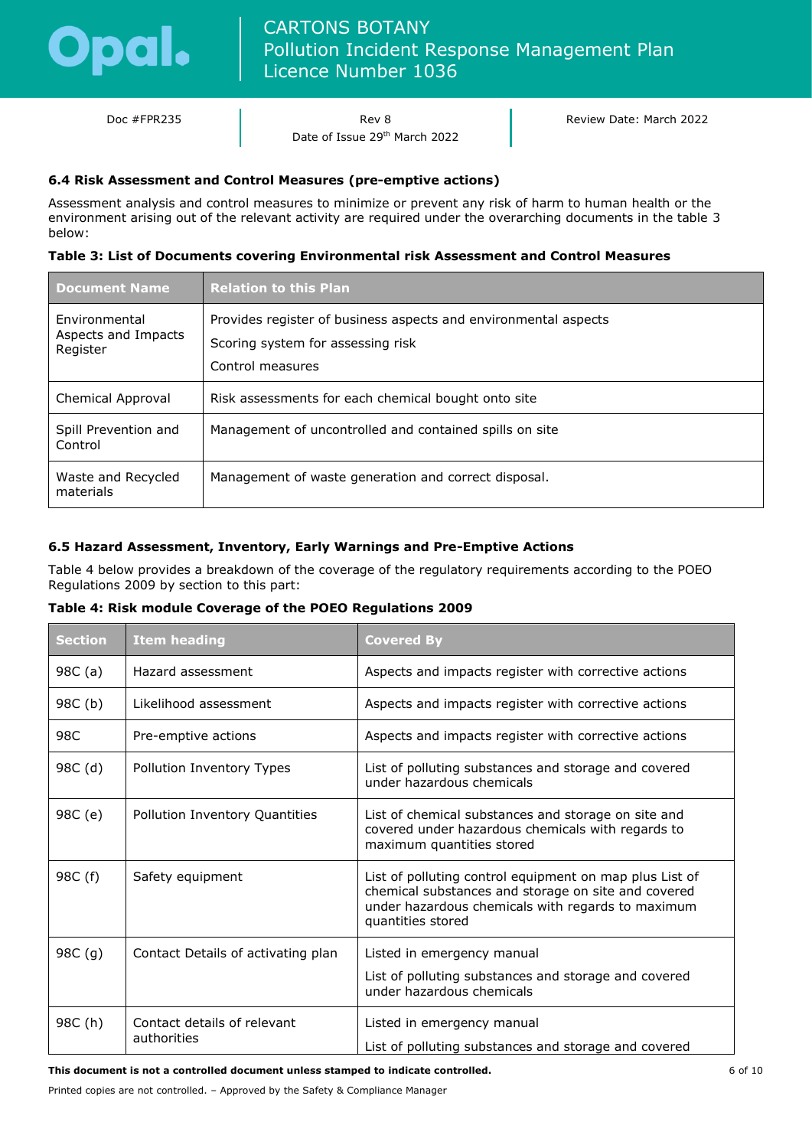

Doc #FPR235 Rev 8 Date of Issue 29th March 2022 Review Date: March 2022

### **6.4 Risk Assessment and Control Measures (pre-emptive actions)**

Assessment analysis and control measures to minimize or prevent any risk of harm to human health or the environment arising out of the relevant activity are required under the overarching documents in the table 3 below:

### **Table 3: List of Documents covering Environmental risk Assessment and Control Measures**

| <b>Document Name</b>                             | <b>Relation to this Plan</b>                                                                                             |
|--------------------------------------------------|--------------------------------------------------------------------------------------------------------------------------|
| Environmental<br>Aspects and Impacts<br>Register | Provides register of business aspects and environmental aspects<br>Scoring system for assessing risk<br>Control measures |
| Chemical Approval                                | Risk assessments for each chemical bought onto site                                                                      |
| Spill Prevention and<br>Control                  | Management of uncontrolled and contained spills on site                                                                  |
| Waste and Recycled<br>materials                  | Management of waste generation and correct disposal.                                                                     |

### **6.5 Hazard Assessment, Inventory, Early Warnings and Pre-Emptive Actions**

Table 4 below provides a breakdown of the coverage of the regulatory requirements according to the POEO Regulations 2009 by section to this part:

### **Table 4: Risk module Coverage of the POEO Regulations 2009**

| <b>Section</b> | <b>Item heading</b>                        | <b>Covered By</b>                                                                                                                                                                        |  |
|----------------|--------------------------------------------|------------------------------------------------------------------------------------------------------------------------------------------------------------------------------------------|--|
| 98C (a)        | Hazard assessment                          | Aspects and impacts register with corrective actions                                                                                                                                     |  |
| 98C (b)        | Likelihood assessment                      | Aspects and impacts register with corrective actions                                                                                                                                     |  |
| 98C            | Pre-emptive actions                        | Aspects and impacts register with corrective actions                                                                                                                                     |  |
| 98C (d)        | Pollution Inventory Types                  | List of polluting substances and storage and covered<br>under hazardous chemicals                                                                                                        |  |
| 98C (e)        | Pollution Inventory Quantities             | List of chemical substances and storage on site and<br>covered under hazardous chemicals with regards to<br>maximum quantities stored                                                    |  |
| 98C (f)        | Safety equipment                           | List of polluting control equipment on map plus List of<br>chemical substances and storage on site and covered<br>under hazardous chemicals with regards to maximum<br>quantities stored |  |
| 98C(g)         | Contact Details of activating plan         | Listed in emergency manual<br>List of polluting substances and storage and covered<br>under hazardous chemicals                                                                          |  |
| 98C (h)        | Contact details of relevant<br>authorities | Listed in emergency manual<br>List of polluting substances and storage and covered                                                                                                       |  |

**This document is not a controlled document unless stamped to indicate controlled.**

Printed copies are not controlled. – Approved by the Safety & Compliance Manager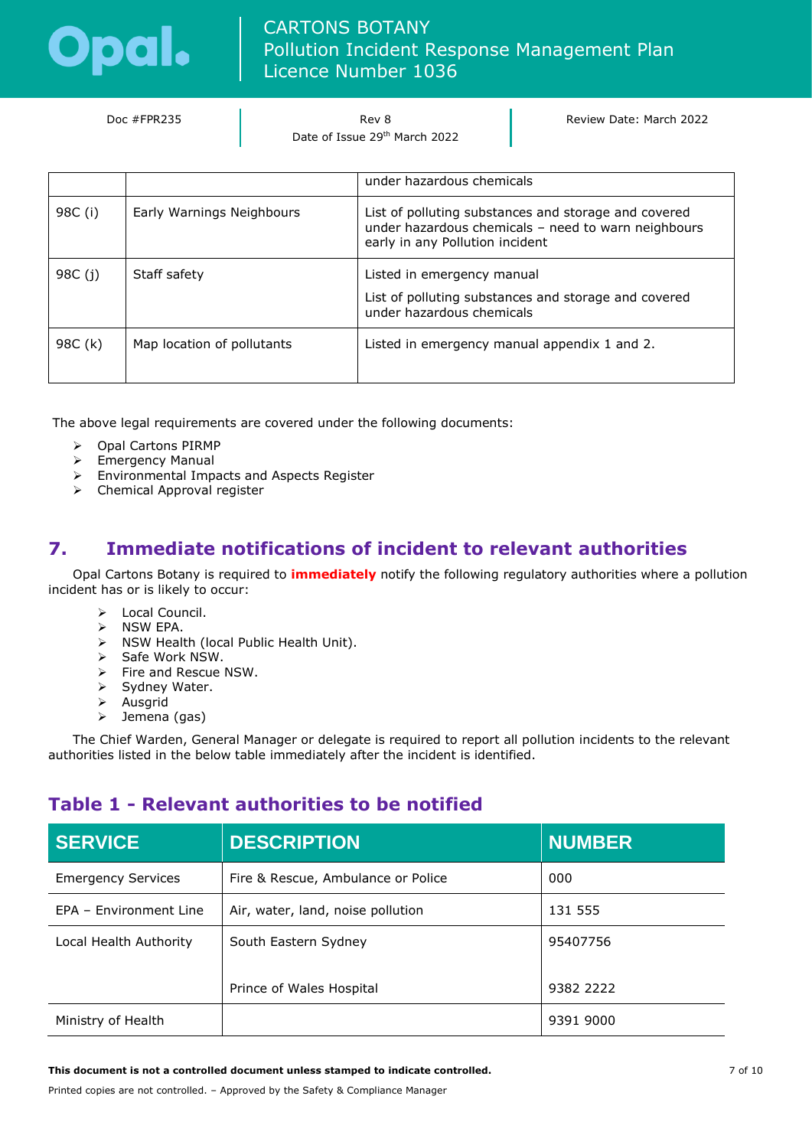

| Doc #FPR235 | Rev 8                         |  |
|-------------|-------------------------------|--|
|             | Date of Issue 29th March 2022 |  |

Review Date: March 2022

|         |                            | under hazardous chemicals                                                                                                                      |
|---------|----------------------------|------------------------------------------------------------------------------------------------------------------------------------------------|
| 98C (i) | Early Warnings Neighbours  | List of polluting substances and storage and covered<br>under hazardous chemicals - need to warn neighbours<br>early in any Pollution incident |
| 98C (j) | Staff safety               | Listed in emergency manual<br>List of polluting substances and storage and covered<br>under hazardous chemicals                                |
| 98C (k) | Map location of pollutants | Listed in emergency manual appendix 1 and 2.                                                                                                   |

The above legal requirements are covered under the following documents:

- ➢ Opal Cartons PIRMP
- ➢ Emergency Manual
- ➢ Environmental Impacts and Aspects Register
- ➢ Chemical Approval register

# <span id="page-6-0"></span>**7. Immediate notifications of incident to relevant authorities**

Opal Cartons Botany is required to **immediately** notify the following regulatory authorities where a pollution incident has or is likely to occur:

- ➢ Local Council.
- ➢ NSW EPA.
- ➢ NSW Health (local Public Health Unit).
- $\sum$  Safe Work NSW.
- ➢ Fire and Rescue NSW.
- ➢ Sydney Water.
- ➢ Ausgrid
- ➢ Jemena (gas)

The Chief Warden, General Manager or delegate is required to report all pollution incidents to the relevant authorities listed in the below table immediately after the incident is identified.

## **Table 1 - Relevant authorities to be notified**

| <b>SERVICE</b>            | <b>DESCRIPTION</b>                 | <b>NUMBER</b> |
|---------------------------|------------------------------------|---------------|
| <b>Emergency Services</b> | Fire & Rescue, Ambulance or Police | 000           |
| EPA - Environment Line    | Air, water, land, noise pollution  | 131 555       |
| Local Health Authority    | South Eastern Sydney               | 95407756      |
|                           | Prince of Wales Hospital           | 9382 2222     |
| Ministry of Health        |                                    | 9391 9000     |

**This document is not a controlled document unless stamped to indicate controlled.**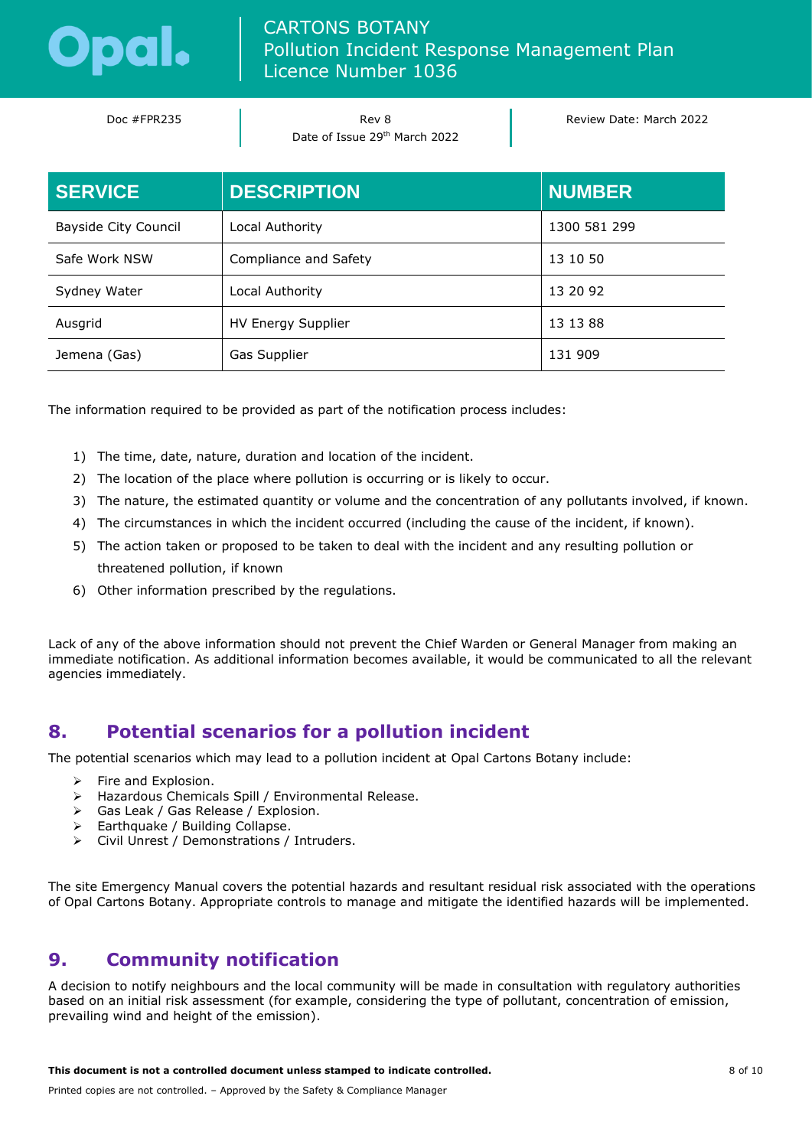

| Doc #FPR235 | Rev 8<br>Date of Issue 29th March 2022 | Review Date: March 2022 |
|-------------|----------------------------------------|-------------------------|
|             |                                        |                         |

| <b>SERVICE</b>       | <b>DESCRIPTION</b>    | <b>NUMBER</b> |
|----------------------|-----------------------|---------------|
| Bayside City Council | Local Authority       | 1300 581 299  |
| Safe Work NSW        | Compliance and Safety | 13 10 50      |
| Sydney Water         | Local Authority       | 13 20 92      |
| Ausgrid              | HV Energy Supplier    | 13 13 88      |
| Jemena (Gas)         | Gas Supplier          | 131 909       |

The information required to be provided as part of the notification process includes:

- 1) The time, date, nature, duration and location of the incident.
- 2) The location of the place where pollution is occurring or is likely to occur.
- 3) The nature, the estimated quantity or volume and the concentration of any pollutants involved, if known.
- 4) The circumstances in which the incident occurred (including the cause of the incident, if known).
- 5) The action taken or proposed to be taken to deal with the incident and any resulting pollution or threatened pollution, if known
- 6) Other information prescribed by the regulations.

Lack of any of the above information should not prevent the Chief Warden or General Manager from making an immediate notification. As additional information becomes available, it would be communicated to all the relevant agencies immediately.

# <span id="page-7-0"></span>**8. Potential scenarios for a pollution incident**

The potential scenarios which may lead to a pollution incident at Opal Cartons Botany include:

- $\triangleright$  Fire and Explosion.
- ➢ Hazardous Chemicals Spill / Environmental Release.
- ➢ Gas Leak / Gas Release / Explosion.
- ➢ Earthquake / Building Collapse.
- ➢ Civil Unrest / Demonstrations / Intruders.

The site Emergency Manual covers the potential hazards and resultant residual risk associated with the operations of Opal Cartons Botany. Appropriate controls to manage and mitigate the identified hazards will be implemented.

# <span id="page-7-1"></span>**9. Community notification**

A decision to notify neighbours and the local community will be made in consultation with regulatory authorities based on an initial risk assessment (for example, considering the type of pollutant, concentration of emission, prevailing wind and height of the emission).

**This document is not a controlled document unless stamped to indicate controlled.**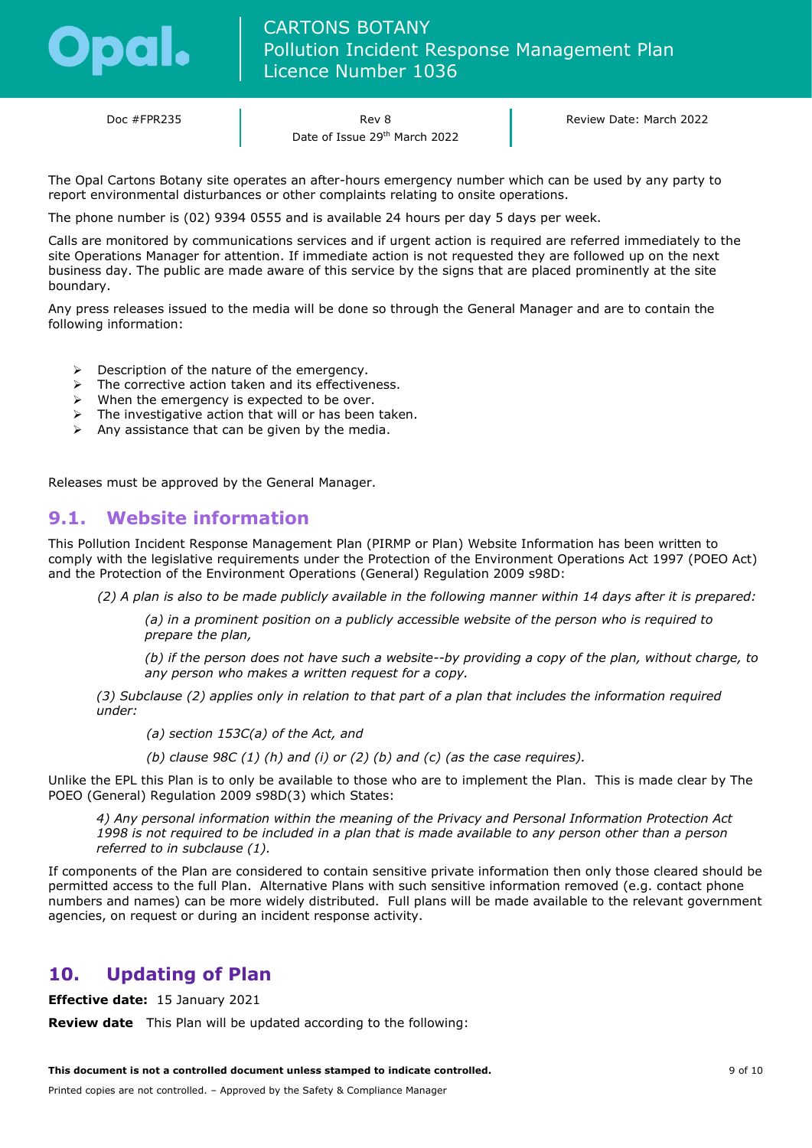

Doc #FPR235 Rev 8 Date of Issue 29<sup>th</sup> March 2022 Review Date: March 2022

The Opal Cartons Botany site operates an after-hours emergency number which can be used by any party to report environmental disturbances or other complaints relating to onsite operations.

The phone number is (02) 9394 0555 and is available 24 hours per day 5 days per week.

Calls are monitored by communications services and if urgent action is required are referred immediately to the site Operations Manager for attention. If immediate action is not requested they are followed up on the next business day. The public are made aware of this service by the signs that are placed prominently at the site boundary.

Any press releases issued to the media will be done so through the General Manager and are to contain the following information:

- ➢ Description of the nature of the emergency.
- ➢ The corrective action taken and its effectiveness.
- $\triangleright$  When the emergency is expected to be over.
- $\triangleright$  The investigative action that will or has been taken.
- $\triangleright$  Any assistance that can be given by the media.

Releases must be approved by the General Manager.

### <span id="page-8-0"></span>**9.1. Website information**

This Pollution Incident Response Management Plan (PIRMP or Plan) Website Information has been written to comply with the legislative requirements under the Protection of the Environment Operations Act 1997 (POEO Act) and the Protection of the Environment Operations (General) Regulation 2009 s98D:

*(2) A plan is also to be made publicly available in the following manner within 14 days after it is prepared:* 

*(a) in a prominent position on a publicly accessible website of the person who is required to prepare the plan,*

*(b) if the person does not have such a website--by providing a copy of the plan, without charge, to any person who makes a written request for a copy.*

*(3) Subclause (2) applies only in relation to that part of a plan that includes the information required under:* 

*(a) section 153C(a) of the Act, and*

*(b) clause 98C (1) (h) and (i) or (2) (b) and (c) (as the case requires).*

Unlike the EPL this Plan is to only be available to those who are to implement the Plan. This is made clear by The POEO (General) Regulation 2009 s98D(3) which States:

*4) Any personal information within the meaning of the Privacy and Personal Information Protection Act 1998 is not required to be included in a plan that is made available to any person other than a person referred to in subclause (1).*

If components of the Plan are considered to contain sensitive private information then only those cleared should be permitted access to the full Plan. Alternative Plans with such sensitive information removed (e.g. contact phone numbers and names) can be more widely distributed. Full plans will be made available to the relevant government agencies, on request or during an incident response activity.

## <span id="page-8-1"></span>**10. Updating of Plan**

**Effective date:** 15 January 2021

**Review date** This Plan will be updated according to the following: